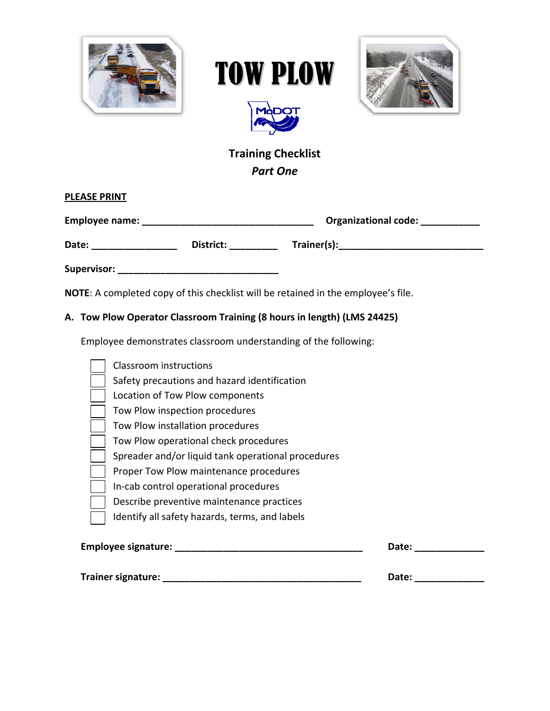







# **Training Checklist** *Part One*

| <b>PLEASE PRINT</b> |           |                             |
|---------------------|-----------|-----------------------------|
| Employee name:      |           | <b>Organizational code:</b> |
| Date:               | District: | Trainer(s): Trainer(s):     |
| <b>Supervisor:</b>  |           |                             |

**NOTE**: A completed copy of this checklist will be retained in the employee's file.

#### **A. Tow Plow Operator Classroom Training (8 hours in length) (LMS 24425)**

Employee demonstrates classroom understanding of the following:

| Classroom instructions                             |       |
|----------------------------------------------------|-------|
| Safety precautions and hazard identification       |       |
| Location of Tow Plow components                    |       |
| Tow Plow inspection procedures                     |       |
| Tow Plow installation procedures                   |       |
| Tow Plow operational check procedures              |       |
| Spreader and/or liquid tank operational procedures |       |
| Proper Tow Plow maintenance procedures             |       |
| In-cab control operational procedures              |       |
| Describe preventive maintenance practices          |       |
| Identify all safety hazards, terms, and labels     |       |
| <b>Employee signature:</b>                         | Date: |
|                                                    |       |

**Trainer signature: \_\_\_\_\_\_\_\_\_\_\_\_\_\_\_\_\_\_\_\_\_\_\_\_\_\_\_\_\_\_\_\_\_\_\_\_\_ Date: \_\_\_\_\_\_\_\_\_\_\_\_\_**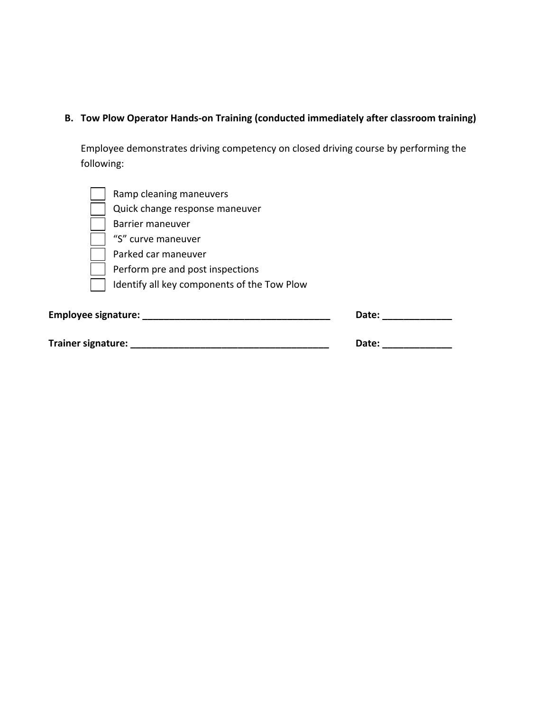## **B. Tow Plow Operator Hands‐on Training (conducted immediately after classroom training)**

Employee demonstrates driving competency on closed driving course by performing the following:

| Ramp cleaning maneuvers                     |       |  |
|---------------------------------------------|-------|--|
| Quick change response maneuver              |       |  |
| Barrier maneuver                            |       |  |
| "S" curve maneuver                          |       |  |
| Parked car maneuver                         |       |  |
| Perform pre and post inspections            |       |  |
| Identify all key components of the Tow Plow |       |  |
| Employee signature:                         | Date: |  |
| <b>Trainer signature:</b>                   | Date: |  |